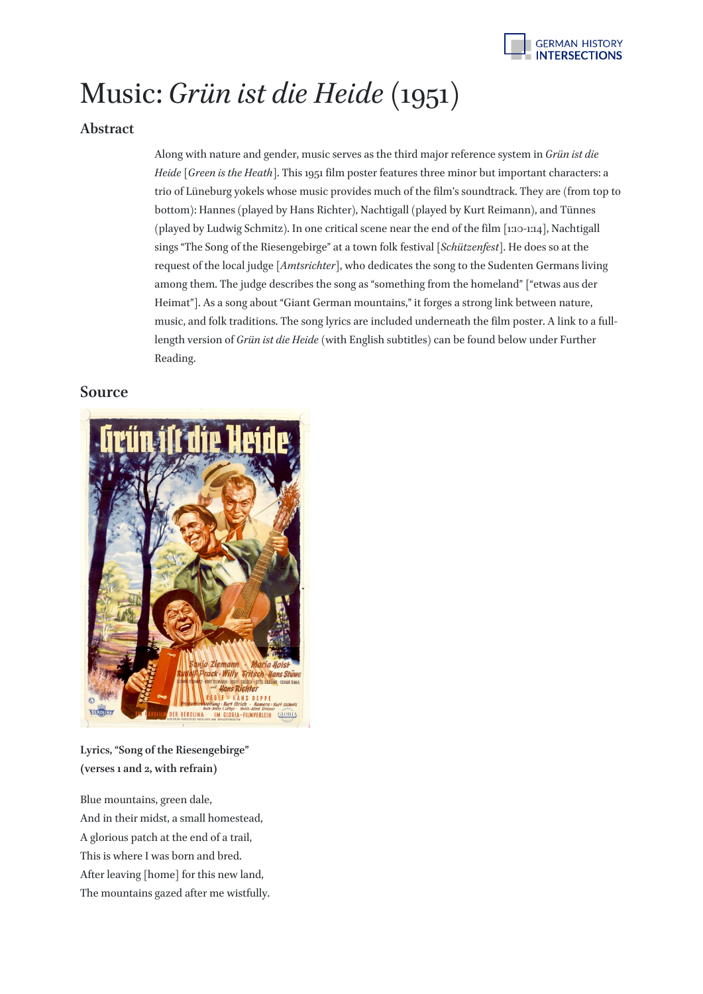

## Music: *Grün ist die Heide* (1951)

## **Abstract**

Along with nature and gender, music serves as the third major reference system in *Grün ist die Heide* [*Green is the Heath*]. This 1951 film poster features three minor but important characters: a trio of Lüneburg yokels whose music provides much of the film's soundtrack. They are (from top to bottom): Hannes (played by Hans Richter), Nachtigall (played by Kurt Reimann), and Tünnes (played by Ludwig Schmitz). In one critical scene near the end of the film [1:10-1:14], Nachtigall sings "The Song of the Riesengebirge" at a town folk festival [*Schützenfest*]. He does so at the request of the local judge [*Amtsrichter*], who dedicates the song to the Sudenten Germans living among them. The judge describes the song as "something from the homeland" ["etwas aus der Heimat"]. As a song about "Giant German mountains," it forges a strong link between nature, music, and folk traditions. The song lyrics are included underneath the film poster. A link to a fulllength version of *Grün ist die Heide* (with English subtitles) can be found below under Further Reading.

## **Source**



**Lyrics, "Song of the Riesengebirge" (verses 1 and 2, with refrain)**

Blue mountains, green dale, And in their midst, a small homestead, A glorious patch at the end of a trail, This is where I was born and bred. After leaving [home] for this new land, The mountains gazed after me wistfully.